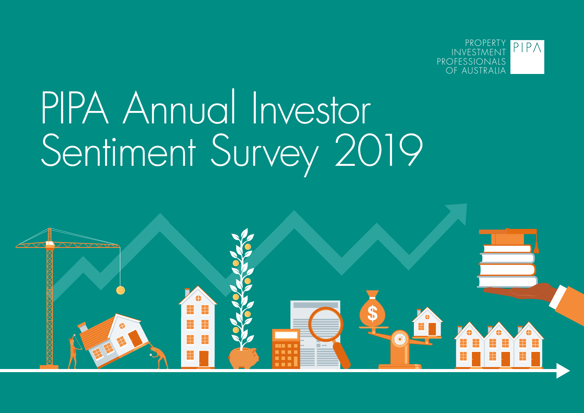

# PIPA Annual Investor Sentiment Survey 2019

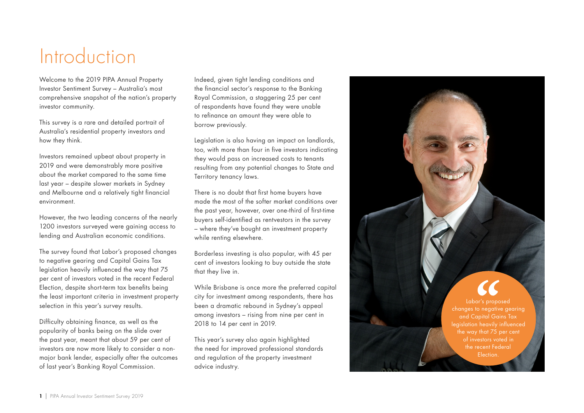## **Introduction**

Welcome to the 2019 PIPA Annual Property Investor Sentiment Survey – Australia's most comprehensive snapshot of the nation's property investor community.

This survey is a rare and detailed portrait of Australia's residential property investors and how they think.

Investors remained upbeat about property in 2019 and were demonstrably more positive about the market compared to the same time last year – despite slower markets in Sydney and Melbourne and a relatively tight financial environment.

However, the two leading concerns of the nearly 1200 investors surveyed were gaining access to lending and Australian economic conditions.

The survey found that Labor's proposed changes to negative gearing and Capital Gains Tax legislation heavily influenced the way that 75 per cent of investors voted in the recent Federal Election, despite short-term tax benefits being the least important criteria in investment property selection in this year's survey results.

Difficulty obtaining finance, as well as the popularity of banks being on the slide over the past year, meant that about 59 per cent of investors are now more likely to consider a nonmajor bank lender, especially after the outcomes of last year's Banking Royal Commission.

Indeed, given tight lending conditions and the financial sector's response to the Banking Royal Commission, a staggering 25 per cent of respondents have found they were unable to refinance an amount they were able to borrow previously.

Legislation is also having an impact on landlords, too, with more than four in five investors indicating they would pass on increased costs to tenants resulting from any potential changes to State and Territory tenancy laws.

There is no doubt that first home buyers have made the most of the softer market conditions over the past year, however, over one-third of first-time buyers self-identified as rentvestors in the survey – where they've bought an investment property while renting elsewhere.

Borderless investing is also popular, with 45 per cent of investors looking to buy outside the state that they live in.

While Brisbane is once more the preferred capital city for investment among respondents, there has been a dramatic rebound in Sydney's appeal among investors – rising from nine per cent in 2018 to 14 per cent in 2019.

This year's survey also again highlighted the need for improved professional standards and regulation of the property investment advice industry.

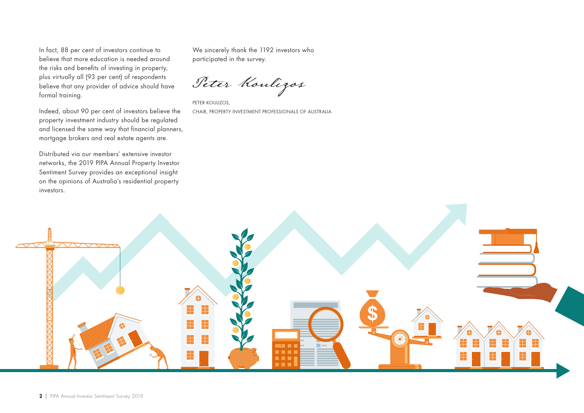In fact, 88 per cent of investors continue to believe that more education is needed around the risks and benefits of investing in property, plus virtually all (93 per cent) of respondents believe that any provider of advice should have formal training.

Indeed, about 90 per cent of investors believe the property investment industry should be regulated and licensed the same way that financial planners, mortgage brokers and real estate agents are.

Distributed via our members' extensive investor networks, the 2019 PIPA Annual Property Investor Sentiment Survey provides an exceptional insight on the opinions of Australia's residential property investors.

We sincerely thank the 1192 investors who participated in the survey.

Peter Koulizos

PETER KOULIZOS, CHAIR, PROPERTY INVESTMENT PROFESSIONALS OF AUSTRALIA

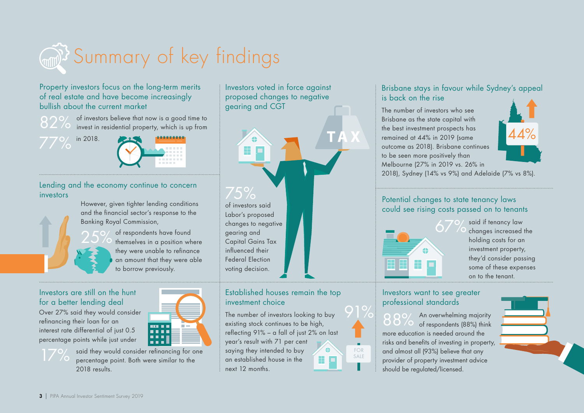

Property investors focus on the long-term merits of real estate and have become increasingly bullish about the current market

82% of investors believe that now is a good time to invest in residential property, which is up from

in 2018. 77%



Lending and the economy continue to concern investors

However, given tighter lending conditions and the financial sector's response to the Banking Royal Commission,

25% of respondents have found themselves in a position where they were unable to refinance an amount that they were able to borrow previously.

#### Investors are still on the hunt for a better lending deal

Over 27% said they would consider refinancing their loan for an interest rate differential of just 0.5 percentage points while just under

 $\sqrt{\circ}$ 



said they would consider refinancing for one percentage point. Both were similar to the 2018 results.

æ

Investors voted in force against proposed changes to negative

gearing and CGT

of investors said Labor's proposed changes to negative gearing and Capital Gains Tax influenced their Federal Election voting decision. 75%

#### Established houses remain the top investment choice

The number of investors looking to buy existing stock continues to be high, reflecting 91% – a fall of just 2% on last year's result with 71 per cent

saying they intended to buy an established house in the next 12 months.



91%

#### Brisbane stays in favour while Sydney's appeal is back on the rise

The number of investors who see Brisbane as the state capital with the best investment prospects has remained at 44% in 2019 (same outcome as 2018). Brisbane continues to be seen more positively than Melbourne (27% in 2019 vs. 26% in



2018), Sydney (14% vs 9%) and Adelaide (7% vs 8%).

#### Potential changes to state tenancy laws could see rising costs passed on to tenants



said if tenancy law changes increased the holding costs for an investment property, they'd consider passing some of these expenses on to the tenant.

#### Investors want to see greater professional standards

88% An overwhelming majority of respondents (88%) think more education is needed around the risks and benefits of investing in property, and almost all (93%) believe that any provider of property investment advice should be regulated/licensed.



3 | PIPA Annual Investor Sentiment Survey 2019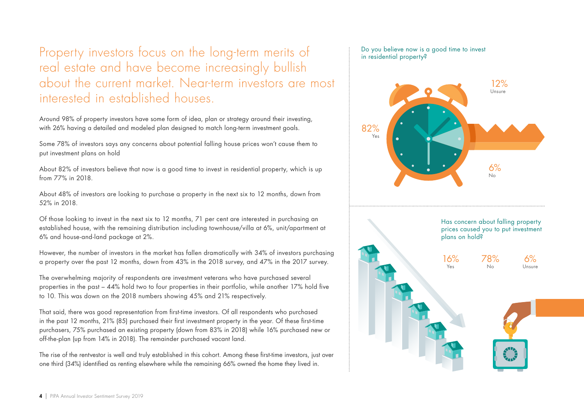Property investors focus on the long-term merits of real estate and have become increasingly bullish about the current market. Near-term investors are most interested in established houses.

Around 98% of property investors have some form of idea, plan or strategy around their investing, with 26% having a detailed and modeled plan designed to match long-term investment goals.

Some 78% of investors says any concerns about potential falling house prices won't cause them to put investment plans on hold

About 82% of investors believe that now is a good time to invest in residential property, which is up from 77% in 2018.

About 48% of investors are looking to purchase a property in the next six to 12 months, down from 52% in 2018.

Of those looking to invest in the next six to 12 months, 71 per cent are interested in purchasing an established house, with the remaining distribution including townhouse/villa at 6%, unit/apartment at 6% and house-and-land package at 2%.

However, the number of investors in the market has fallen dramatically with 34% of investors purchasing a property over the past 12 months, down from 43% in the 2018 survey, and 47% in the 2017 survey.

The overwhelming majority of respondents are investment veterans who have purchased several properties in the past – 44% hold two to four properties in their portfolio, while another 17% hold five to 10. This was down on the 2018 numbers showing 45% and 21% respectively.

That said, there was good representation from first-time investors. Of all respondents who purchased in the past 12 months, 21% (85) purchased their first investment property in the year. Of these first-time purchasers, 75% purchased an existing property (down from 83% in 2018) while 16% purchased new or off-the-plan (up from 14% in 2018). The remainder purchased vacant land.

The rise of the rentvestor is well and truly established in this cohort. Among these first-time investors, just over one third (34%) identified as renting elsewhere while the remaining 66% owned the home they lived in.

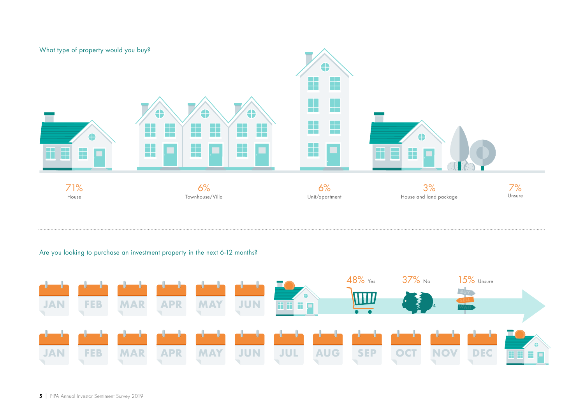

#### Are you looking to purchase an investment property in the next 6-12 months?

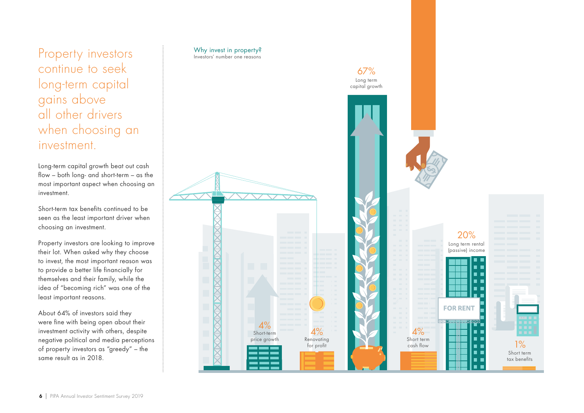Property investors continue to seek long-term capital gains above all other drivers when choosing an investment.

Long-term capital growth beat out cash flow – both long- and short-term – as the most important aspect when choosing an investment.

Short-term tax benefits continued to be seen as the least important driver when choosing an investment.

Property investors are looking to improve their lot. When asked why they choose to invest, the most important reason was to provide a better life financially for themselves and their family, while the idea of "becoming rich" was one of the least important reasons.

About 64% of investors said they were fine with being open about their investment activity with others, despite negative political and media perceptions of property investors as "greedy" – the same result as in 2018.

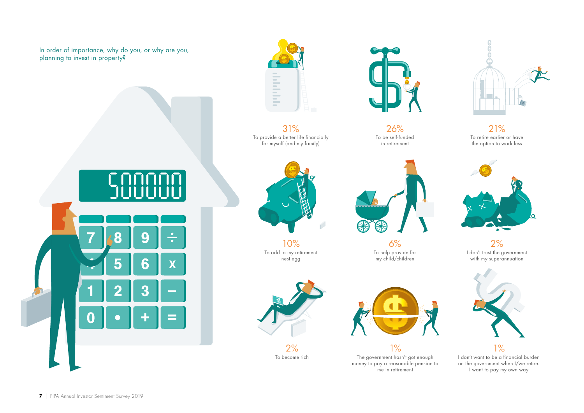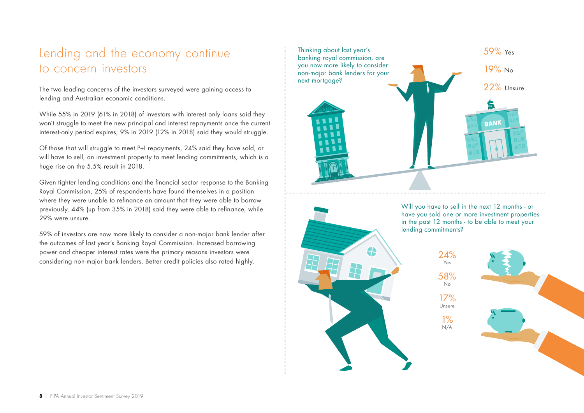### Lending and the economy continue to concern investors

The two leading concerns of the investors surveyed were gaining access to lending and Australian economic conditions.

While 55% in 2019 (61% in 2018) of investors with interest only loans said they won't struggle to meet the new principal and interest repayments once the current interest-only period expires, 9% in 2019 (12% in 2018) said they would struggle.

Of those that will struggle to meet P+I repayments, 24% said they have sold, or will have to sell, an investment property to meet lending commitments, which is a huge rise on the 5.5% result in 2018.

Given tighter lending conditions and the financial sector response to the Banking Royal Commission, 25% of respondents have found themselves in a position where they were unable to refinance an amount that they were able to borrow previously. 44% (up from 35% in 2018) said they were able to refinance, while 29% were unsure.

59% of investors are now more likely to consider a non-major bank lender after the outcomes of last year's Banking Royal Commission. Increased borrowing power and cheaper interest rates were the primary reasons investors were considering non-major bank lenders. Better credit policies also rated highly.





Will you have to sell in the next 12 months - or have you sold one or more investment properties in the past 12 months - to be able to meet your lending commitments?

> 24% Yes 58% No 17%

Unsure 1% N/A

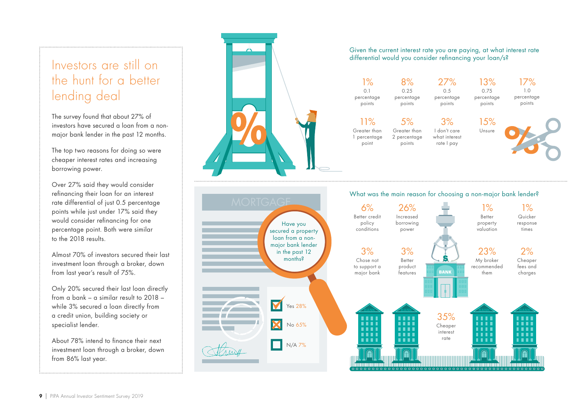## Investors are still on the hunt for a better lending deal

The survey found that about 27% of investors have secured a loan from a nonmajor bank lender in the past 12 months.

The top two reasons for doing so were cheaper interest rates and increasing borrowing power.

Over 27% said they would consider refinancing their loan for an interest rate differential of just 0.5 percentage points while just under 17% said they would consider refinancing for one percentage point. Both were similar to the 2018 results.

Almost 70% of investors secured their last investment loan through a broker, down from last year's result of 75%.

Only 20% secured their last loan directly from a bank – a similar result to 2018 – while 3% secured a loan directly from a credit union, building society or specialist lender.

About 78% intend to finance their next investment loan through a broker, down from 86% last year.



percentage points

points

11% Greater than 1 percentage point

percentage points

> 5% Greater than 2 percentage 3% I don't care what interest

percentage points

rate I pay

percentage points



17% 1.0 percentage points

#### What was the main reason for choosing a non-major bank lender?

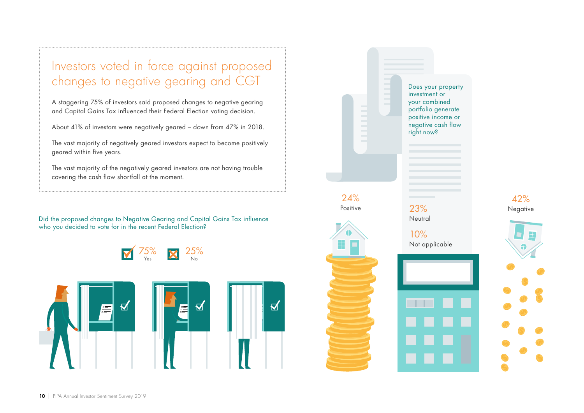## Investors voted in force against proposed changes to negative gearing and CGT

A staggering 75% of investors said proposed changes to negative gearing and Capital Gains Tax influenced their Federal Election voting decision.

About 41% of investors were negatively geared – down from 47% in 2018.

The vast majority of negatively geared investors expect to become positively geared within five years.

The vast majority of the negatively geared investors are not having trouble covering the cash flow shortfall at the moment.

Did the proposed changes to Negative Gearing and Capital Gains Tax influence  $\sim$ who you decided to vote for in the recent Federal Election?





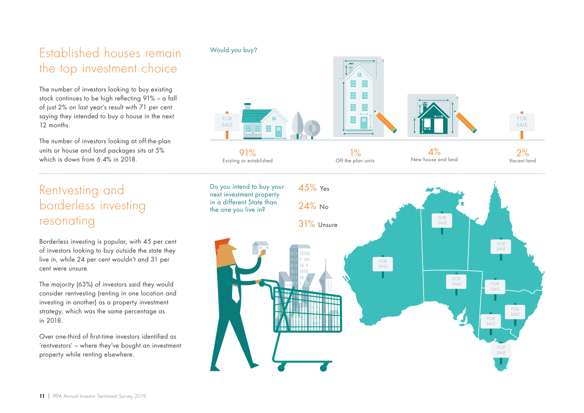## Established houses remain the top investment choice

The number of investors looking to buy existing stock continues to be high reflecting 91% – a fall of just 2% on last year's result with 71 per cent saying they intended to buy a house in the next 12 months.

The number of investors looking at off-the-plan units or house and land packages sits at 5% which is down from 6.4% in 2018.

## Rentvesting and borderless investing resonating

Borderless investing is popular, with 45 per cent of investors looking to buy outside the state they live in, while 24 per cent wouldn't and 31 per cent were unsure.

The majority (63%) of investors said they would consider rentvesting (renting in one location and investing in another) as a property investment strategy, which was the same percentage as in 2018.

Over one-third of first-time investors identified as 'rentvestors' – where they've bought an investment property while renting elsewhere.

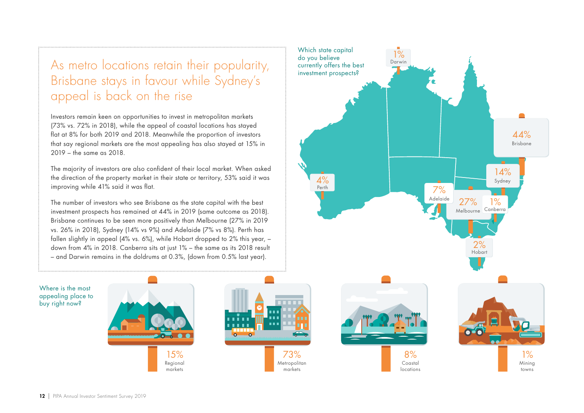## As metro locations retain their popularity, Brisbane stays in favour while Sydney's appeal is back on the rise

Investors remain keen on opportunities to invest in metropolitan markets (73% vs. 72% in 2018), while the appeal of coastal locations has stayed flat at 8% for both 2019 and 2018. Meanwhile the proportion of investors that say regional markets are the most appealing has also stayed at 15% in 2019 – the same as 2018.

The majority of investors are also confident of their local market. When asked the direction of the property market in their state or territory, 53% said it was improving while 41% said it was flat.

The number of investors who see Brisbane as the state capital with the best investment prospects has remained at 44% in 2019 (same outcome as 2018). Brisbane continues to be seen more positively than Melbourne (27% in 2019 vs. 26% in 2018), Sydney (14% vs 9%) and Adelaide (7% vs 8%). Perth has fallen slightly in appeal (4% vs. 6%), while Hobart dropped to 2% this year, – down from 4% in 2018. Canberra sits at just 1% – the same as its 2018 result – and Darwin remains in the doldrums at 0.3%, (down from 0.5% last year).

> 15% Regional markets

1% Mining towns 8% Coastal locations 73% Metropolitan markets Which state capital do you believe currently offers the best<br>investment prospects? 2% Hobart 1% Darwin 44% Brisbane  $14%$ Sydney 27% Melbourne Canberra7% Adelaide 4% Perth  $\frac{9}{6}$ 

Where is the most appealing place to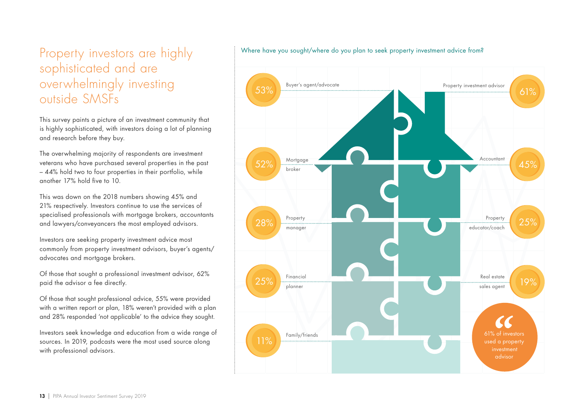## Property investors are highly sophisticated and are overwhelmingly investing outside SMSFs

This survey paints a picture of an investment community that is highly sophisticated, with investors doing a lot of planning and research before they buy.

The overwhelming majority of respondents are investment veterans who have purchased several properties in the past – 44% hold two to four properties in their portfolio, while another 17% hold five to 10.

This was down on the 2018 numbers showing 45% and 21% respectively. Investors continue to use the services of specialised professionals with mortgage brokers, accountants and lawyers/conveyancers the most employed advisors.

Investors are seeking property investment advice most commonly from property investment advisors, buyer's agents/ advocates and mortgage brokers.

Of those that sought a professional investment advisor, 62% paid the advisor a fee directly.

Of those that sought professional advice, 55% were provided with a written report or plan, 18% weren't provided with a plan and 28% responded 'not applicable' to the advice they sought.

Investors seek knowledge and education from a wide range of sources. In 2019, podcasts were the most used source along with professional advisors.



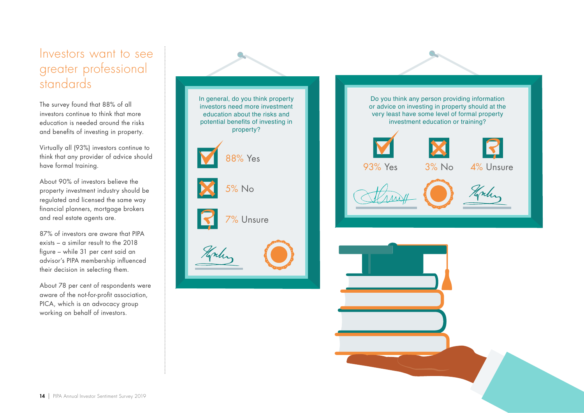### Investors want to see greater professional standards

The survey found that 88% of all investors continue to think that more education is needed around the risks and benefits of investing in property.

Virtually all (93%) investors continue to think that any provider of advice should have formal training.

About 90% of investors believe the property investment industry should be regulated and licensed the same way financial planners, mortgage brokers and real estate agents are.

87% of investors are aware that PIPA exists – a similar result to the 2018 figure – while 31 per cent said an advisor's PIPA membership influenced their decision in selecting them.

About 78 per cent of respondents were aware of the not-for-profit association, PICA, which is an advocacy group working on behalf of investors.



Do you think any person providing information or advice on investing in property should at the very least have some level of formal property investment education or training? 93% Yes 3% No 4% UnsureHorter